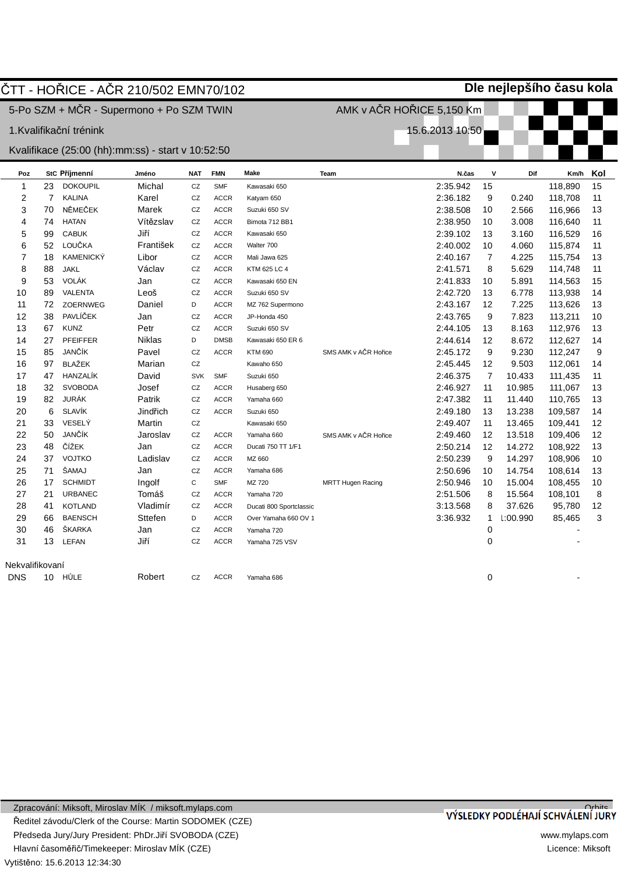|                 |                | ČTT - HOŘICE - AČR 210/502 EMN70/102              |           |            |             |                         |                           |                 |                | Dle nejlepšího času kola |         |     |
|-----------------|----------------|---------------------------------------------------|-----------|------------|-------------|-------------------------|---------------------------|-----------------|----------------|--------------------------|---------|-----|
|                 |                | 5-Po SZM + MČR - Supermono + Po SZM TWIN          |           |            |             |                         | AMK v AČR HOŘICE 5,150 Km |                 |                |                          |         |     |
|                 |                | 1.Kvalifikační trénink                            |           |            |             |                         |                           | 15.6.2013 10:50 |                |                          |         |     |
|                 |                |                                                   |           |            |             |                         |                           |                 |                |                          |         |     |
|                 |                | Kvalifikace (25:00 (hh):mm:ss) - start v 10:52:50 |           |            |             |                         |                           |                 |                |                          |         |     |
| Poz             |                | StC Příjmenní                                     | Jméno     | <b>NAT</b> | <b>FMN</b>  | <b>Make</b>             | Team                      | N.čas           | $\mathbf v$    | Dif                      | Km/h    | Kol |
| $\mathbf{1}$    | 23             | <b>DOKOUPIL</b>                                   | Michal    | CZ         | <b>SMF</b>  | Kawasaki 650            |                           | 2:35.942        | 15             |                          | 118,890 | 15  |
| 2               | $\overline{7}$ | <b>KALINA</b>                                     | Karel     | CZ         | <b>ACCR</b> | Katyam 650              |                           | 2:36.182        | 9              | 0.240                    | 118,708 | 11  |
| 3               | 70             | NĚMEČEK                                           | Marek     | CZ         | <b>ACCR</b> | Suzuki 650 SV           |                           | 2:38.508        | 10             | 2.566                    | 116,966 | 13  |
| 4               | 74             | <b>HATAN</b>                                      | Vítězslav | CZ         | <b>ACCR</b> | Bimota 712 BB1          |                           | 2:38.950        | 10             | 3.008                    | 116,640 | 11  |
| 5               | 99             | <b>CABUK</b>                                      | Jiří      | CZ         | <b>ACCR</b> | Kawasaki 650            |                           | 2:39.102        | 13             | 3.160                    | 116,529 | 16  |
| 6               | 52             | LOUČKA                                            | František | CZ         | <b>ACCR</b> | Walter 700              |                           | 2:40.002        | 10             | 4.060                    | 115,874 | 11  |
| 7               | 18             | <b>KAMENICKÝ</b>                                  | Libor     | CZ         | <b>ACCR</b> | Mali Jawa 625           |                           | 2:40.167        | $\overline{7}$ | 4.225                    | 115,754 | 13  |
| 8               | 88             | <b>JAKL</b>                                       | Václav    | CZ         | <b>ACCR</b> | KTM 625 LC 4            |                           | 2:41.571        | 8              | 5.629                    | 114,748 | 11  |
| 9               | 53             | <b>VOLÁK</b>                                      | Jan       | CZ         | <b>ACCR</b> | Kawasaki 650 EN         |                           | 2:41.833        | 10             | 5.891                    | 114,563 | 15  |
| 10              | 89             | <b>VALENTA</b>                                    | Leoš      | CZ         | <b>ACCR</b> | Suzuki 650 SV           |                           | 2:42.720        | 13             | 6.778                    | 113,938 | 14  |
| 11              | 72             | <b>ZOERNWEG</b>                                   | Daniel    | D          | <b>ACCR</b> | MZ 762 Supermono        |                           | 2:43.167        | 12             | 7.225                    | 113,626 | 13  |
| 12              | 38             | PAVLÍČEK                                          | Jan       | CZ         | <b>ACCR</b> | JP-Honda 450            |                           | 2:43.765        | 9              | 7.823                    | 113,211 | 10  |
| 13              | 67             | <b>KUNZ</b>                                       | Petr      | CZ         | <b>ACCR</b> | Suzuki 650 SV           |                           | 2:44.105        | 13             | 8.163                    | 112,976 | 13  |
| 14              | 27             | <b>PFEIFFER</b>                                   | Niklas    | D          | <b>DMSB</b> | Kawasaki 650 ER 6       |                           | 2:44.614        | 12             | 8.672                    | 112,627 | 14  |
| 15              | 85             | JANČÍK                                            | Pavel     | CZ         | <b>ACCR</b> | <b>KTM 690</b>          | SMS AMK v AČR Hořice      | 2:45.172        | 9              | 9.230                    | 112,247 | 9   |
| 16              | 97             | <b>BLAŽEK</b>                                     | Marian    | CZ         |             | Kawaho 650              |                           | 2:45.445        | 12             | 9.503                    | 112,061 | 14  |
| 17              | 47             | HANZALÍK                                          | David     | <b>SVK</b> | <b>SMF</b>  | Suzuki 650              |                           | 2:46.375        | $\overline{7}$ | 10.433                   | 111,435 | 11  |
| 18              | 32             | <b>SVOBODA</b>                                    | Josef     | CZ         | <b>ACCR</b> | Husaberg 650            |                           | 2:46.927        | 11             | 10.985                   | 111,067 | 13  |
| 19              | 82             | <b>JURÁK</b>                                      | Patrik    | CZ         | <b>ACCR</b> | Yamaha 660              |                           | 2:47.382        | 11             | 11.440                   | 110,765 | 13  |
| 20              | 6              | <b>SLAVÍK</b>                                     | Jindřich  | CZ         | <b>ACCR</b> | Suzuki 650              |                           | 2:49.180        | 13             | 13.238                   | 109,587 | 14  |
| 21              | 33             | VESELÝ                                            | Martin    | CZ         |             | Kawasaki 650            |                           | 2:49.407        | 11             | 13.465                   | 109,441 | 12  |
| 22              | 50             | JANČÍK                                            | Jaroslav  | CZ         | <b>ACCR</b> | Yamaha 660              | SMS AMK v AČR Hořice      | 2:49.460        | 12             | 13.518                   | 109,406 | 12  |
| 23              | 48             | ČÍŽEK                                             | Jan       | CZ         | <b>ACCR</b> | Ducati 750 TT 1/F1      |                           | 2:50.214        | 12             | 14.272                   | 108,922 | 13  |
| 24              | 37             | <b>VOJTKO</b>                                     | Ladislav  | CZ         | <b>ACCR</b> | MZ 660                  |                           | 2:50.239        | 9              | 14.297                   | 108,906 | 10  |
| 25              | 71             | ŠAMAJ                                             | Jan       | CZ         | <b>ACCR</b> | Yamaha 686              |                           | 2:50.696        | 10             | 14.754                   | 108,614 | 13  |
| 26              | 17             | <b>SCHMIDT</b>                                    | Ingolf    | C          | <b>SMF</b>  | MZ 720                  | <b>MRTT Hugen Racing</b>  | 2:50.946        | 10             | 15.004                   | 108,455 | 10  |
| 27              | 21             | <b>URBANEC</b>                                    | Tomáš     | CZ         | <b>ACCR</b> | Yamaha 720              |                           | 2:51.506        | 8              | 15.564                   | 108,101 | 8   |
| 28              | 41             | <b>KOTLAND</b>                                    | Vladimír  | CZ         | <b>ACCR</b> | Ducati 800 Sportclassic |                           | 3:13.568        | 8              | 37.626                   | 95,780  | 12  |
| 29              | 66             | <b>BAENSCH</b>                                    | Sttefen   | D          | <b>ACCR</b> | Over Yamaha 660 OV 1    |                           | 3:36.932        | $\mathbf{1}$   | 1:00.990                 | 85,465  | 3   |
| 30              | 46             | <b>SKARKA</b>                                     | Jan       | CZ         | <b>ACCR</b> | Yamaha 720              |                           |                 | 0              |                          |         |     |
| 31              | 13             | <b>LEFAN</b>                                      | Jiří      | CZ         | <b>ACCR</b> | Yamaha 725 VSV          |                           |                 | 0              |                          |         |     |
|                 |                |                                                   |           |            |             |                         |                           |                 |                |                          |         |     |
| Nekvalifikovaní |                |                                                   |           |            |             |                         |                           |                 |                |                          |         |     |
| <b>DNS</b>      | 10             | HŮLE                                              | Robert    | CZ         | <b>ACCR</b> | Yamaha 686              |                           |                 | $\Omega$       |                          |         |     |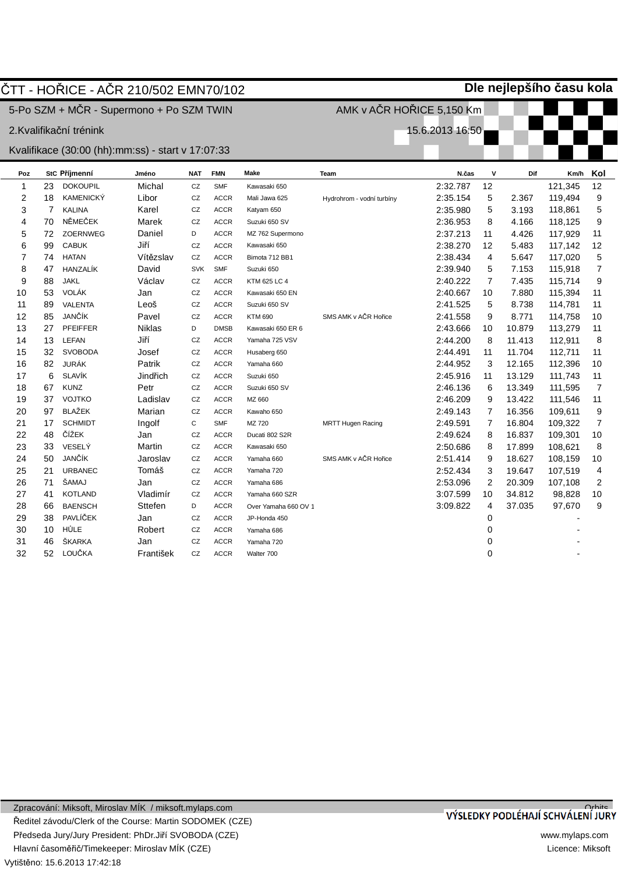|              |                | ČTT - HOŘICE - AČR 210/502 EMN70/102                |               |            |             |                      |                           |                 |                |        | Dle nejlepšího času kola |                |
|--------------|----------------|-----------------------------------------------------|---------------|------------|-------------|----------------------|---------------------------|-----------------|----------------|--------|--------------------------|----------------|
|              |                | 5-Po SZM + MČR - Supermono + Po SZM TWIN            |               |            |             |                      | AMK v AČR HOŘICE 5,150 Km |                 |                |        |                          |                |
|              |                | 2.Kvalifikační trénink                              |               |            |             |                      |                           | 15.6.2013 16:50 |                |        |                          |                |
|              |                |                                                     |               |            |             |                      |                           |                 |                |        |                          |                |
|              |                | Kvalifikace (30:00 (hh): mm: ss) - start v 17:07:33 |               |            |             |                      |                           |                 |                |        |                          |                |
| Poz          |                | StC Příjmenní                                       | Jméno         | <b>NAT</b> | <b>FMN</b>  | Make                 | Team                      | N.čas           | $\mathbf v$    | Dif    | Km/h                     | Kol            |
| $\mathbf{1}$ | 23             | <b>DOKOUPIL</b>                                     | Michal        | CZ         | <b>SMF</b>  | Kawasaki 650         |                           | 2:32.787        | 12             |        | 121,345                  | 12             |
| 2            | 18             | <b>KAMENICKÝ</b>                                    | Libor         | CZ         | <b>ACCR</b> | Mali Jawa 625        | Hydrohrom - vodní turbíny | 2:35.154        | 5              | 2.367  | 119,494                  | 9              |
| 3            | $\overline{7}$ | <b>KALINA</b>                                       | Karel         | CZ         | <b>ACCR</b> | Katyam 650           |                           | 2:35.980        | 5              | 3.193  | 118,861                  | 5              |
| 4            | 70             | NĚMEČEK                                             | Marek         | CZ         | <b>ACCR</b> | Suzuki 650 SV        |                           | 2:36.953        | 8              | 4.166  | 118,125                  | 9              |
| 5            | 72             | ZOERNWEG                                            | Daniel        | D          | <b>ACCR</b> | MZ 762 Supermono     |                           | 2:37.213        | 11             | 4.426  | 117,929                  | 11             |
| 6            | 99             | <b>CABUK</b>                                        | Jiří          | CZ         | <b>ACCR</b> | Kawasaki 650         |                           | 2:38.270        | 12             | 5.483  | 117,142                  | 12             |
| 7            | 74             | <b>HATAN</b>                                        | Vítězslav     | CZ         | <b>ACCR</b> | Bimota 712 BB1       |                           | 2:38.434        | $\overline{4}$ | 5.647  | 117,020                  | 5              |
| 8            | 47             | HANZALÍK                                            | David         | <b>SVK</b> | <b>SMF</b>  | Suzuki 650           |                           | 2:39.940        | 5              | 7.153  | 115,918                  | 7              |
| 9            | 88             | <b>JAKL</b>                                         | Václav        | CZ         | <b>ACCR</b> | KTM 625 LC 4         |                           | 2:40.222        | $\overline{7}$ | 7.435  | 115,714                  | 9              |
| 10           | 53             | <b>VOLÁK</b>                                        | Jan           | CZ         | <b>ACCR</b> | Kawasaki 650 EN      |                           | 2:40.667        | 10             | 7.880  | 115,394                  | 11             |
| 11           | 89             | <b>VALENTA</b>                                      | Leoš          | CZ         | <b>ACCR</b> | Suzuki 650 SV        |                           | 2:41.525        | 5              | 8.738  | 114,781                  | 11             |
| 12           | 85             | JANČÍK                                              | Pavel         | CZ         | <b>ACCR</b> | <b>KTM 690</b>       | SMS AMK v AČR Hořice      | 2:41.558        | 9              | 8.771  | 114,758                  | 10             |
| 13           | 27             | <b>PFEIFFER</b>                                     | <b>Niklas</b> | D          | <b>DMSB</b> | Kawasaki 650 ER 6    |                           | 2:43.666        | 10             | 10.879 | 113,279                  | 11             |
| 14           | 13             | <b>LEFAN</b>                                        | Jiří          | CZ         | <b>ACCR</b> | Yamaha 725 VSV       |                           | 2:44.200        | 8              | 11.413 | 112,911                  | 8              |
| 15           | 32             | <b>SVOBODA</b>                                      | Josef         | CZ         | <b>ACCR</b> | Husaberg 650         |                           | 2:44.491        | 11             | 11.704 | 112,711                  | 11             |
| 16           | 82             | <b>JURÁK</b>                                        | Patrik        | CZ         | <b>ACCR</b> | Yamaha 660           |                           | 2:44.952        | 3              | 12.165 | 112,396                  | 10             |
| 17           | 6              | <b>SLAVÍK</b>                                       | Jindřich      | CZ         | <b>ACCR</b> | Suzuki 650           |                           | 2:45.916        | 11             | 13.129 | 111,743                  | 11             |
| 18           | 67             | <b>KUNZ</b>                                         | Petr          | CZ         | <b>ACCR</b> | Suzuki 650 SV        |                           | 2:46.136        | 6              | 13.349 | 111,595                  | $\overline{7}$ |
| 19           | 37             | <b>VOJTKO</b>                                       | Ladislav      | CZ         | <b>ACCR</b> | MZ 660               |                           | 2:46.209        | 9              | 13.422 | 111,546                  | 11             |
| 20           | 97             | <b>BLAŽEK</b>                                       | Marian        | CZ         | <b>ACCR</b> | Kawaho 650           |                           | 2:49.143        | $\overline{7}$ | 16.356 | 109,611                  | 9              |
| 21           | 17             | <b>SCHMIDT</b>                                      | Ingolf        | C          | <b>SMF</b>  | MZ 720               | <b>MRTT Hugen Racing</b>  | 2:49.591        | $\overline{7}$ | 16.804 | 109,322                  | $\overline{7}$ |
| 22           | 48             | ČÍŽEK                                               | Jan           | CZ         | <b>ACCR</b> | Ducati 802 S2R       |                           | 2:49.624        | 8              | 16.837 | 109,301                  | 10             |
| 23           | 33             | VESELÝ                                              | Martin        | CZ         | <b>ACCR</b> | Kawasaki 650         |                           | 2:50.686        | 8              | 17.899 | 108,621                  | 8              |
| 24           | 50             | <b>JANČÍK</b>                                       | Jaroslav      | CZ         | <b>ACCR</b> | Yamaha 660           | SMS AMK v AČR Hořice      | 2:51.414        | 9              | 18.627 | 108,159                  | 10             |
| 25           | 21             | <b>URBANEC</b>                                      | Tomáš         | CZ         | <b>ACCR</b> | Yamaha 720           |                           | 2:52.434        | 3              | 19.647 | 107,519                  | 4              |
| 26           | 71             | ŠAMAJ                                               | Jan           | CZ         | <b>ACCR</b> | Yamaha 686           |                           | 2:53.096        | $\overline{2}$ | 20.309 | 107,108                  | 2              |
| 27           | 41             | <b>KOTLAND</b>                                      | Vladimír      | CZ         | <b>ACCR</b> | Yamaha 660 SZR       |                           | 3:07.599        | 10             | 34.812 | 98,828                   | 10             |
| 28           | 66             | <b>BAENSCH</b>                                      | Sttefen       | D          | <b>ACCR</b> | Over Yamaha 660 OV 1 |                           | 3:09.822        | $\overline{4}$ | 37.035 | 97,670                   | 9              |
| 29           | 38             | PAVLÍČEK                                            | Jan           | CZ         | <b>ACCR</b> | JP-Honda 450         |                           |                 | 0              |        |                          |                |
| 30           | 10             | HŮLE                                                | Robert        | CZ         | <b>ACCR</b> | Yamaha 686           |                           |                 | 0              |        |                          |                |
| 31           | 46             | ŠKARKA                                              | Jan           | CZ         | <b>ACCR</b> | Yamaha 720           |                           |                 | $\mathbf 0$    |        |                          |                |
| 32           | 52             | LOUČKA                                              | František     | CZ         | <b>ACCR</b> | Walter 700           |                           |                 | 0              |        |                          |                |
|              |                |                                                     |               |            |             |                      |                           |                 |                |        |                          |                |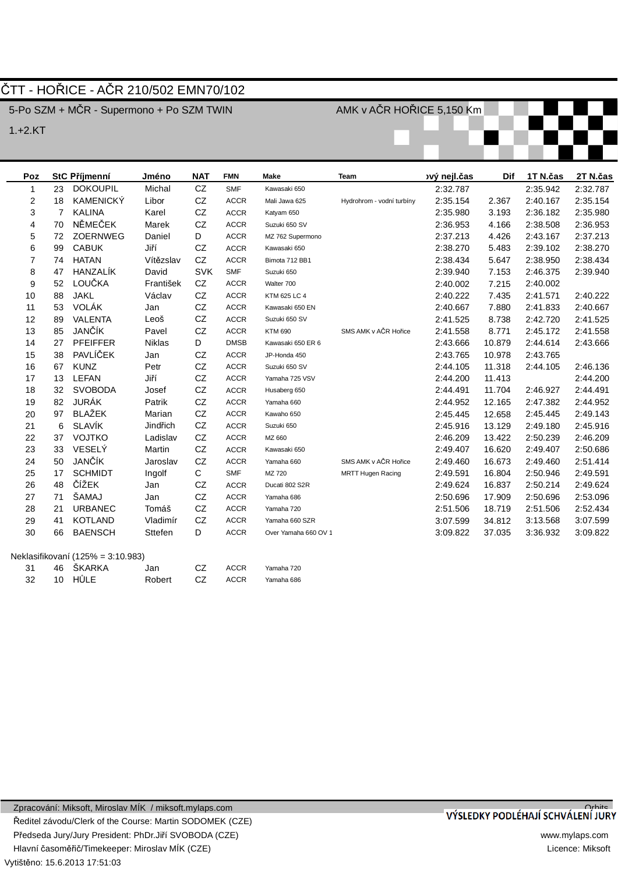## ČTT - HOŘICE - AČR 210/502 EMN70/102

5-Po SZM + MČR - Supermono + Po SZM TWIN

1.+2.KT

AMK v AČR HOŘICE 5,150 Km

| Poz            |    | <b>StC Příjmenní</b>   | Jméno     | <b>NAT</b> | <b>FMN</b>  | <b>Make</b>          | <b>Team</b>               | vý nejl.čas | <b>Dif</b> | 1T N.čas | 2T N.čas |
|----------------|----|------------------------|-----------|------------|-------------|----------------------|---------------------------|-------------|------------|----------|----------|
| 1              | 23 | <b>DOKOUPIL</b>        | Michal    | CZ         | <b>SMF</b>  | Kawasaki 650         |                           | 2:32.787    |            | 2:35.942 | 2:32.787 |
| $\overline{2}$ | 18 | <b>KAMENICKÝ</b>       | Libor     | CZ         | <b>ACCR</b> | Mali Jawa 625        | Hydrohrom - vodní turbíny | 2:35.154    | 2.367      | 2:40.167 | 2:35.154 |
| 3              | 7  | <b>KALINA</b>          | Karel     | CZ         | <b>ACCR</b> | Katyam 650           |                           | 2:35.980    | 3.193      | 2:36.182 | 2:35.980 |
| 4              | 70 | NĚMEČEK                | Marek     | CZ         | <b>ACCR</b> | Suzuki 650 SV        |                           | 2:36.953    | 4.166      | 2:38.508 | 2:36.953 |
| 5              | 72 | ZOERNWEG               | Daniel    | D          | <b>ACCR</b> | MZ 762 Supermono     |                           | 2:37.213    | 4.426      | 2:43.167 | 2:37.213 |
| 6              | 99 | <b>CABUK</b>           | Jiří      | CZ         | <b>ACCR</b> | Kawasaki 650         |                           | 2:38.270    | 5.483      | 2:39.102 | 2:38.270 |
| $\overline{7}$ | 74 | <b>HATAN</b>           | Vítězslav | CZ         | <b>ACCR</b> | Bimota 712 BB1       |                           | 2:38.434    | 5.647      | 2:38.950 | 2:38.434 |
| 8              | 47 | <b>HANZALIK</b>        | David     | <b>SVK</b> | <b>SMF</b>  | Suzuki 650           |                           | 2:39.940    | 7.153      | 2:46.375 | 2:39.940 |
| 9              | 52 | LOUČKA                 | František | CZ         | <b>ACCR</b> | Walter 700           |                           | 2:40.002    | 7.215      | 2:40.002 |          |
| 10             | 88 | <b>JAKL</b>            | Václav    | CZ         | <b>ACCR</b> | KTM 625 LC 4         |                           | 2:40.222    | 7.435      | 2:41.571 | 2:40.222 |
| 11             | 53 | VOLÁK                  | Jan       | CZ         | <b>ACCR</b> | Kawasaki 650 EN      |                           | 2:40.667    | 7.880      | 2:41.833 | 2:40.667 |
| 12             | 89 | <b>VALENTA</b>         | Leoš      | CZ         | <b>ACCR</b> | Suzuki 650 SV        |                           | 2:41.525    | 8.738      | 2:42.720 | 2:41.525 |
| 13             | 85 | JANČÍK                 | Pavel     | CZ         | <b>ACCR</b> | <b>KTM 690</b>       | SMS AMK v AČR Hořice      | 2:41.558    | 8.771      | 2:45.172 | 2:41.558 |
| 14             | 27 | <b>PFEIFFER</b>        | Niklas    | D          | <b>DMSB</b> | Kawasaki 650 ER 6    |                           | 2:43.666    | 10.879     | 2:44.614 | 2:43.666 |
| 15             | 38 | PAVLÍČEK               | Jan       | CZ         | <b>ACCR</b> | JP-Honda 450         |                           | 2:43.765    | 10.978     | 2:43.765 |          |
| 16             | 67 | <b>KUNZ</b>            | Petr      | CZ         | <b>ACCR</b> | Suzuki 650 SV        |                           | 2:44.105    | 11.318     | 2:44.105 | 2:46.136 |
| 17             | 13 | LEFAN                  | Jiří      | CZ         | <b>ACCR</b> | Yamaha 725 VSV       |                           | 2:44.200    | 11.413     |          | 2:44.200 |
| 18             | 32 | <b>SVOBODA</b>         | Josef     | CZ         | <b>ACCR</b> | Husaberg 650         |                           | 2:44.491    | 11.704     | 2:46.927 | 2:44.491 |
| 19             | 82 | JURÁK                  | Patrik    | CZ         | <b>ACCR</b> | Yamaha 660           |                           | 2:44.952    | 12.165     | 2:47.382 | 2:44.952 |
| 20             | 97 | <b>BLAŽEK</b>          | Marian    | CZ         | <b>ACCR</b> | Kawaho 650           |                           | 2:45.445    | 12.658     | 2:45.445 | 2:49.143 |
| 21             | 6  | <b>SLAVÍK</b>          | Jindřich  | CZ         | <b>ACCR</b> | Suzuki 650           |                           | 2:45.916    | 13.129     | 2:49.180 | 2:45.916 |
| 22             | 37 | <b>VOJTKO</b>          | Ladislav  | CZ         | <b>ACCR</b> | MZ 660               |                           | 2:46.209    | 13.422     | 2:50.239 | 2:46.209 |
| 23             | 33 | VESELÝ                 | Martin    | CZ         | <b>ACCR</b> | Kawasaki 650         |                           | 2:49.407    | 16.620     | 2:49.407 | 2:50.686 |
| 24             | 50 | JANČÍK                 | Jaroslav  | CZ         | <b>ACCR</b> | Yamaha 660           | SMS AMK v AČR Hořice      | 2:49.460    | 16.673     | 2:49.460 | 2:51.414 |
| 25             | 17 | <b>SCHMIDT</b>         | Ingolf    | C          | <b>SMF</b>  | MZ 720               | <b>MRTT Hugen Racing</b>  | 2:49.591    | 16.804     | 2:50.946 | 2:49.591 |
| 26             | 48 | ČÍŽEK                  | Jan       | CZ         | <b>ACCR</b> | Ducati 802 S2R       |                           | 2:49.624    | 16.837     | 2:50.214 | 2:49.624 |
| 27             | 71 | ŠAMAJ                  | Jan       | CZ         | <b>ACCR</b> | Yamaha 686           |                           | 2:50.696    | 17.909     | 2:50.696 | 2:53.096 |
| 28             | 21 | <b>URBANEC</b>         | Tomáš     | CZ         | <b>ACCR</b> | Yamaha 720           |                           | 2:51.506    | 18.719     | 2:51.506 | 2:52.434 |
| 29             | 41 | <b>KOTLAND</b>         | Vladimír  | CZ         | <b>ACCR</b> | Yamaha 660 SZR       |                           | 3:07.599    | 34.812     | 3:13.568 | 3:07.599 |
| 30             | 66 | <b>BAENSCH</b>         | Sttefen   | D          | <b>ACCR</b> | Over Yamaha 660 OV 1 |                           | 3:09.822    | 37.035     | 3:36.932 | 3:09.822 |
|                |    | $N_{\rm e}$ $(6.4000)$ |           |            |             |                      |                           |             |            |          |          |

|  | 31 46 ŠKARKA   Jan |                | CZ – | ACCR | Yamaha 720 |
|--|--------------------|----------------|------|------|------------|
|  | 32 10 HULE         | Robert CZ ACCR |      |      | Yamaha 686 |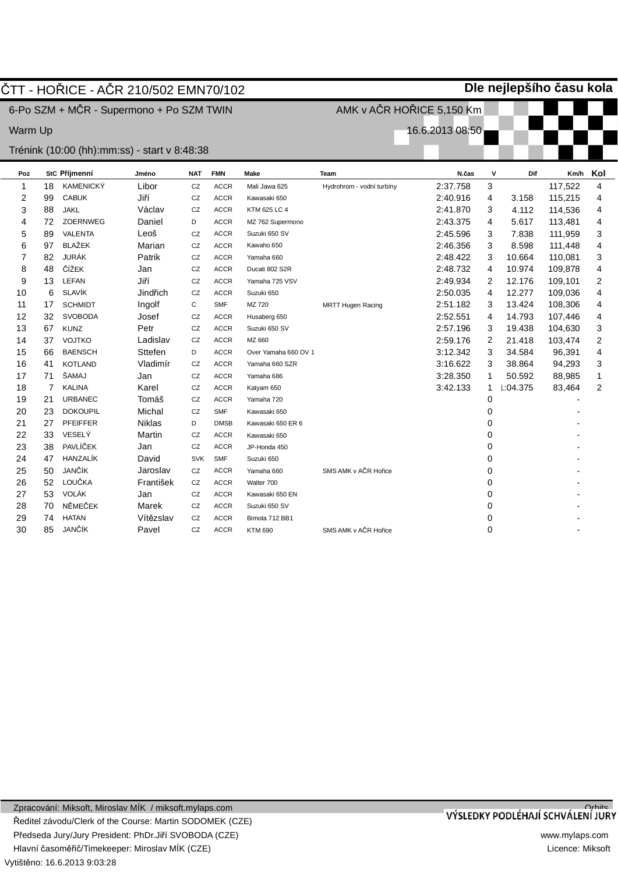|         |                | ČTT - HOŘICE - AČR 210/502 EMN70/102           |           |            |             |                      |                           |                 |                | Dle nejlepšího času kola |         |                |
|---------|----------------|------------------------------------------------|-----------|------------|-------------|----------------------|---------------------------|-----------------|----------------|--------------------------|---------|----------------|
|         |                | 6-Po SZM + MČR - Supermono + Po SZM TWIN       |           |            |             |                      | AMK v AČR HOŘICE 5,150 Km |                 |                |                          |         |                |
|         |                |                                                |           |            |             |                      |                           |                 |                |                          |         |                |
| Warm Up |                |                                                |           |            |             |                      |                           | 16.6.2013 08:50 |                |                          |         |                |
|         |                | Trénink (10:00 (hh): mm: ss) - start v 8:48:38 |           |            |             |                      |                           |                 |                |                          |         |                |
| Poz     |                | StC Příjmenní                                  | Jméno     | <b>NAT</b> | <b>FMN</b>  | <b>Make</b>          | Team                      | N.čas           | $\mathbf v$    | Dif                      | Km/h    | Kol            |
| 1       | 18             | <b>KAMENICKÝ</b>                               | Libor     | CZ         | <b>ACCR</b> | Mali Jawa 625        | Hydrohrom - vodní turbíny | 2:37.758        | 3              |                          | 117,522 | 4              |
| 2       | 99             | <b>CABUK</b>                                   | Jiří      | CZ         | <b>ACCR</b> | Kawasaki 650         |                           | 2:40.916        | $\overline{4}$ | 3.158                    | 115,215 | 4              |
| 3       | 88             | <b>JAKL</b>                                    | Václav    | CZ         | <b>ACCR</b> | KTM 625 LC 4         |                           | 2:41.870        | 3              | 4.112                    | 114,536 | 4              |
| 4       | 72             | <b>ZOERNWEG</b>                                | Daniel    | D          | <b>ACCR</b> | MZ 762 Supermono     |                           | 2:43.375        | 4              | 5.617                    | 113,481 | 4              |
| 5       | 89             | <b>VALENTA</b>                                 | Leoš      | CZ         | <b>ACCR</b> | Suzuki 650 SV        |                           | 2:45.596        | 3              | 7.838                    | 111,959 | 3              |
| 6       | 97             | <b>BLAŽEK</b>                                  | Marian    | CZ         | <b>ACCR</b> | Kawaho 650           |                           | 2:46.356        | 3              | 8.598                    | 111,448 | 4              |
| 7       | 82             | <b>JURÁK</b>                                   | Patrik    | CZ         | <b>ACCR</b> | Yamaha 660           |                           | 2:48.422        | 3              | 10.664                   | 110,081 | 3              |
| 8       | 48             | ČÍŽEK                                          | Jan       | CZ         | <b>ACCR</b> | Ducati 802 S2R       |                           | 2:48.732        | $\overline{4}$ | 10.974                   | 109,878 | 4              |
| 9       | 13             | <b>LEFAN</b>                                   | Jiří      | CZ         | <b>ACCR</b> | Yamaha 725 VSV       |                           | 2:49.934        | 2              | 12.176                   | 109,101 | 2              |
| 10      | 6              | <b>SLAVÍK</b>                                  | Jindřich  | CZ         | <b>ACCR</b> | Suzuki 650           |                           | 2:50.035        | 4              | 12.277                   | 109,036 | 4              |
| 11      | 17             | <b>SCHMIDT</b>                                 | Ingolf    | C          | <b>SMF</b>  | MZ 720               | <b>MRTT Hugen Racing</b>  | 2:51.182        | 3              | 13.424                   | 108,306 | 4              |
| 12      | 32             | <b>SVOBODA</b>                                 | Josef     | CZ         | <b>ACCR</b> | Husaberg 650         |                           | 2:52.551        | 4              | 14.793                   | 107,446 | 4              |
| 13      | 67             | <b>KUNZ</b>                                    | Petr      | CZ         | <b>ACCR</b> | Suzuki 650 SV        |                           | 2:57.196        | 3              | 19.438                   | 104,630 | 3              |
| 14      | 37             | <b>VOJTKO</b>                                  | Ladislav  | CZ         | <b>ACCR</b> | MZ 660               |                           | 2:59.176        | 2              | 21.418                   | 103,474 | 2              |
| 15      | 66             | <b>BAENSCH</b>                                 | Sttefen   | D          | <b>ACCR</b> | Over Yamaha 660 OV 1 |                           | 3:12.342        | 3              | 34.584                   | 96,391  | 4              |
| 16      | 41             | <b>KOTLAND</b>                                 | Vladimír  | CZ         | <b>ACCR</b> | Yamaha 660 SZR       |                           | 3:16.622        | 3              | 38.864                   | 94,293  | 3              |
| 17      | 71             | ŠAMAJ                                          | Jan       | CZ         | <b>ACCR</b> | Yamaha 686           |                           | 3:28.350        | $\mathbf{1}$   | 50.592                   | 88,985  | 1              |
| 18      | $\overline{7}$ | <b>KALINA</b>                                  | Karel     | CZ         | <b>ACCR</b> | Katyam 650           |                           | 3:42.133        | $\mathbf{1}$   | 1:04.375                 | 83,464  | $\overline{2}$ |
| 19      | 21             | <b>URBANEC</b>                                 | Tomáš     | CZ         | <b>ACCR</b> | Yamaha 720           |                           |                 | 0              |                          |         |                |
| 20      | 23             | <b>DOKOUPIL</b>                                | Michal    | CZ         | <b>SMF</b>  | Kawasaki 650         |                           |                 | 0              |                          |         |                |
| 21      | 27             | PFEIFFER                                       | Niklas    | D          | <b>DMSB</b> | Kawasaki 650 ER 6    |                           |                 | 0              |                          |         |                |
| 22      | 33             | VESELÝ                                         | Martin    | CZ         | <b>ACCR</b> | Kawasaki 650         |                           |                 | 0              |                          |         |                |
| 23      | 38             | PAVLÍČEK                                       | Jan       | CZ         | <b>ACCR</b> | JP-Honda 450         |                           |                 | 0              |                          |         |                |
| 24      | 47             | HANZALÍK                                       | David     | <b>SVK</b> | <b>SMF</b>  | Suzuki 650           |                           |                 | 0              |                          |         |                |
| 25      | 50             | JANČÍK                                         | Jaroslav  | CZ         | <b>ACCR</b> | Yamaha 660           | SMS AMK v AČR Hořice      |                 | 0              |                          |         |                |
| 26      | 52             | LOUČKA                                         | František | CZ         | <b>ACCR</b> | Walter 700           |                           |                 | 0              |                          |         |                |
| 27      | 53             | <b>VOLÁK</b>                                   | Jan       | CZ         | <b>ACCR</b> | Kawasaki 650 EN      |                           |                 | 0              |                          |         |                |
| 28      | 70             | NĚMEČEK                                        | Marek     | CZ         | <b>ACCR</b> | Suzuki 650 SV        |                           |                 | 0              |                          |         |                |
| 29      | 74             | <b>HATAN</b>                                   | Vítězslav | CZ         | <b>ACCR</b> | Bimota 712 BB1       |                           |                 | 0              |                          |         |                |
| 30      | 85             | JANČÍK                                         | Pavel     | CZ         | <b>ACCR</b> | <b>KTM 690</b>       | SMS AMK v AČR Hořice      |                 | 0              |                          |         |                |